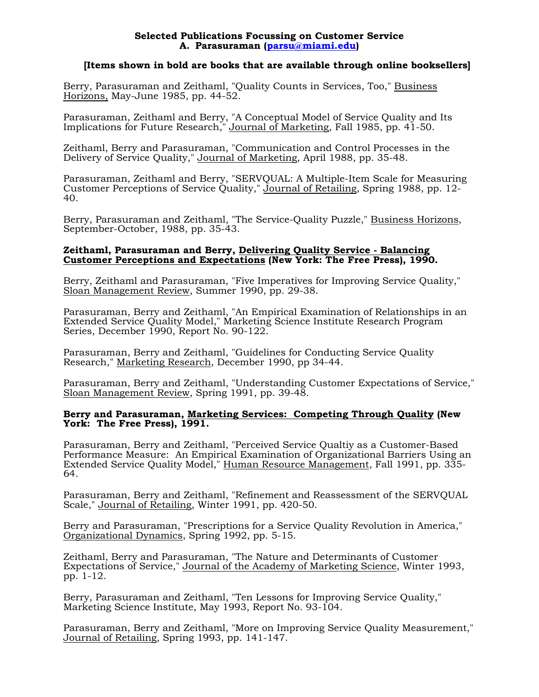## **Selected Publications Focussing on Customer Service A. Parasuraman [\(parsu@miami.edu](mailto:parsu@miami.edu))**

## **[Items shown in bold are books that are available through online booksellers]**

Berry, Parasuraman and Zeithaml, "Quality Counts in Services, Too," Business Horizons, May-June 1985, pp. 44-52.

Parasuraman, Zeithaml and Berry, "A Conceptual Model of Service Quality and Its Implications for Future Research," Journal of Marketing, Fall 1985, pp. 41-50.

Zeithaml, Berry and Parasuraman, "Communication and Control Processes in the Delivery of Service Quality," Journal of Marketing, April 1988, pp. 35-48.

Parasuraman, Zeithaml and Berry, "SERVQUAL: A Multiple-Item Scale for Measuring Customer Perceptions of Service Quality," Journal of Retailing, Spring 1988, pp. 12- 40.

Berry, Parasuraman and Zeithaml, "The Service-Quality Puzzle," Business Horizons, September-October, 1988, pp. 35-43.

## **Zeithaml, Parasuraman and Berry, Delivering Quality Service - Balancing Customer Perceptions and Expectations (New York: The Free Press), 1990.**

Berry, Zeithaml and Parasuraman, "Five Imperatives for Improving Service Quality," Sloan Management Review, Summer 1990, pp. 29-38.

Parasuraman, Berry and Zeithaml, "An Empirical Examination of Relationships in an Extended Service Quality Model," Marketing Science Institute Research Program Series, December 1990, Report No. 90-122.

Parasuraman, Berry and Zeithaml, "Guidelines for Conducting Service Quality Research," Marketing Research, December 1990, pp 34-44.

Parasuraman, Berry and Zeithaml, "Understanding Customer Expectations of Service," Sloan Management Review, Spring 1991, pp. 39-48.

## **Berry and Parasuraman, Marketing Services: Competing Through Quality (New York: The Free Press), 1991.**

Parasuraman, Berry and Zeithaml, "Perceived Service Qualtiy as a Customer-Based Performance Measure: An Empirical Examination of Organizational Barriers Using an Extended Service Quality Model," Human Resource Management, Fall 1991, pp. 335- 64.

Parasuraman, Berry and Zeithaml, "Refinement and Reassessment of the SERVQUAL Scale," Journal of Retailing, Winter 1991, pp. 420-50.

Berry and Parasuraman, "Prescriptions for a Service Quality Revolution in America," Organizational Dynamics, Spring 1992, pp. 5-15.

Zeithaml, Berry and Parasuraman, "The Nature and Determinants of Customer Expectations of Service," Journal of the Academy of Marketing Science, Winter 1993, pp. 1-12.

Berry, Parasuraman and Zeithaml, "Ten Lessons for Improving Service Quality," Marketing Science Institute, May 1993, Report No. 93-104.

Parasuraman, Berry and Zeithaml, "More on Improving Service Quality Measurement," Journal of Retailing, Spring 1993, pp. 141-147.